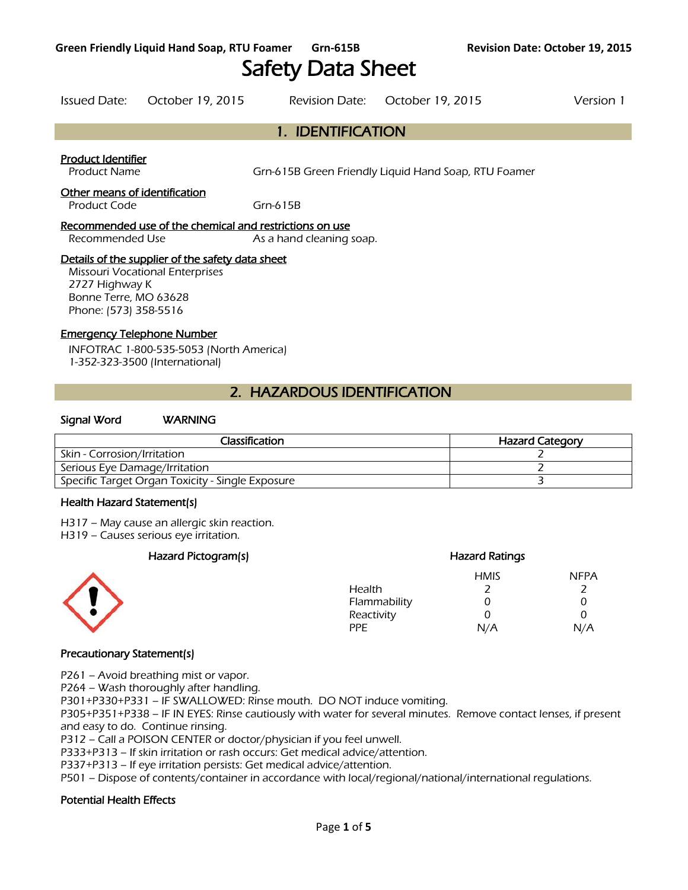# Safety Data Sheet

Issued Date: October 19, 2015 Revision Date: October 19, 2015 Version 1

# 1. IDENTIFICATION

#### Product Identifier

Product Name Grn-615B Green Friendly Liquid Hand Soap, RTU Foamer

#### Other means of identification

Product Code Grn-615B

#### Recommended use of the chemical and restrictions on use

Recommended Use As a hand cleaning soap.

#### Details of the supplier of the safety data sheet

Missouri Vocational Enterprises 2727 Highway K Bonne Terre, MO 63628 Phone: (573) 358-5516

#### Emergency Telephone Number

INFOTRAC 1-800-535-5053 (North America) 1-352-323-3500 (International)

## 2. HAZARDOUS IDENTIFICATION

#### Signal Word WARNING

| Classification                                   | <b>Hazard Category</b> |
|--------------------------------------------------|------------------------|
| Skin - Corrosion/Irritation                      |                        |
| Serious Eye Damage/Irritation                    |                        |
| Specific Target Organ Toxicity - Single Exposure |                        |
|                                                  |                        |

#### Health Hazard Statement(s)

H317 – May cause an allergic skin reaction.

H319 – Causes serious eye irritation.

### Hazard Pictogram(s) extending the extending Hazard Ratings



### HMIS NFPA Health 2 2 Flammability 0 0 0 Reactivity 0 0 0 PPE N/A N/A

### Precautionary Statement(s)

P261 – Avoid breathing mist or vapor.

P264 – Wash thoroughly after handling.

P301+P330+P331 – IF SWALLOWED: Rinse mouth. DO NOT induce vomiting.

P305+P351+P338 – IF IN EYES: Rinse cautiously with water for several minutes. Remove contact lenses, if present and easy to do. Continue rinsing.

P312 – Call a POISON CENTER or doctor/physician if you feel unwell.

P333+P313 – If skin irritation or rash occurs: Get medical advice/attention.

P337+P313 – If eye irritation persists: Get medical advice/attention.

P501 – Dispose of contents/container in accordance with local/regional/national/international regulations.

### Potential Health Effects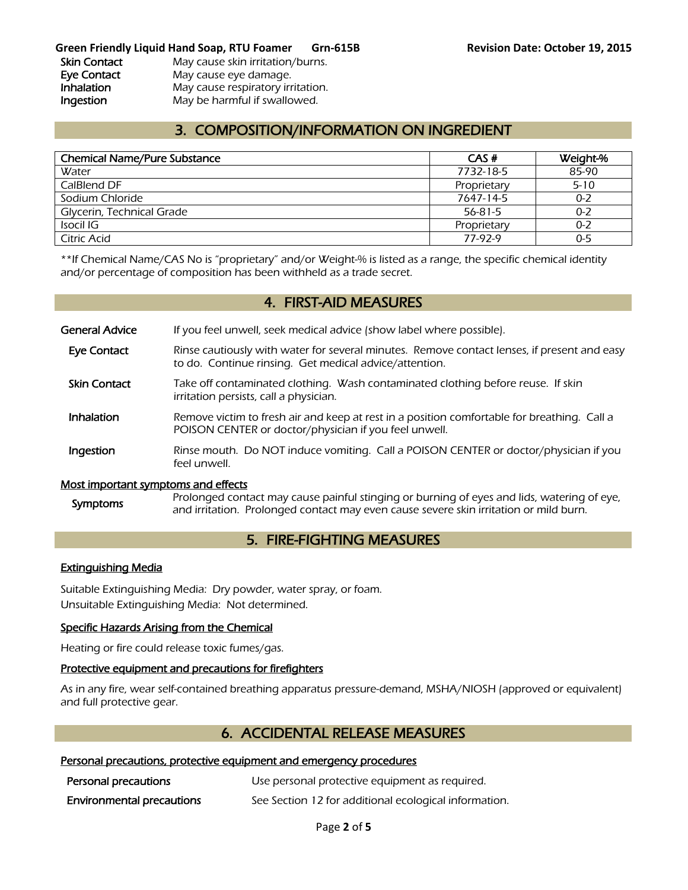### **Green Friendly Liquid Hand Soap, RTU Foamer Grn-615B Revision Date: October 19, 2015**

Skin Contact May cause skin irritation/burns. Eye Contact May cause eye damage. Inhalation May cause respiratory irritation. **Ingestion** May be harmful if swallowed.

# 3. COMPOSITION/INFORMATION ON INGREDIENT

| <b>Chemical Name/Pure Substance</b> | CAS#        | Weight-% |
|-------------------------------------|-------------|----------|
| Water                               | 7732-18-5   | 85-90    |
| CalBlend DF                         | Proprietary | $5 - 10$ |
| Sodium Chloride                     | 7647-14-5   | $0 - 2$  |
| Glycerin, Technical Grade           | 56-81-5     | $0 - 2$  |
| Isocil IG                           | Proprietary | $0 - 2$  |
| Citric Acid                         | 77-97-9     | $0 - 5$  |
|                                     |             |          |

\*\*If Chemical Name/CAS No is "proprietary" and/or Weight-% is listed as a range, the specific chemical identity and/or percentage of composition has been withheld as a trade secret.

### 4. FIRST-AID MEASURES

General Advice If you feel unwell, seek medical advice (show label where possible).

- Eye Contact Rinse cautiously with water for several minutes. Remove contact lenses, if present and easy to do. Continue rinsing. Get medical advice/attention.
- Skin Contact Take off contaminated clothing. Wash contaminated clothing before reuse. If skin irritation persists, call a physician.
- **Inhalation** Remove victim to fresh air and keep at rest in a position comfortable for breathing. Call a POISON CENTER or doctor/physician if you feel unwell.
- **Ingestion** Rinse mouth. Do NOT induce vomiting. Call a POISON CENTER or doctor/physician if you feel unwell.

### Most important symptoms and effects

Symptoms Prolonged contact may cause painful stinging or burning of eyes and lids, watering of eye, and irritation. Prolonged contact may even cause severe skin irritation or mild burn.

# 5. FIRE-FIGHTING MEASURES

#### Extinguishing Media

Suitable Extinguishing Media: Dry powder, water spray, or foam. Unsuitable Extinguishing Media: Not determined.

### Specific Hazards Arising from the Chemical

Heating or fire could release toxic fumes/gas.

### Protective equipment and precautions for firefighters

As in any fire, wear self-contained breathing apparatus pressure-demand, MSHA/NIOSH (approved or equivalent) and full protective gear.

### 6. ACCIDENTAL RELEASE MEASURES

### Personal precautions, protective equipment and emergency procedures

| Personal precautions             | Use personal protective equipment as required.        |
|----------------------------------|-------------------------------------------------------|
| <b>Environmental precautions</b> | See Section 12 for additional ecological information. |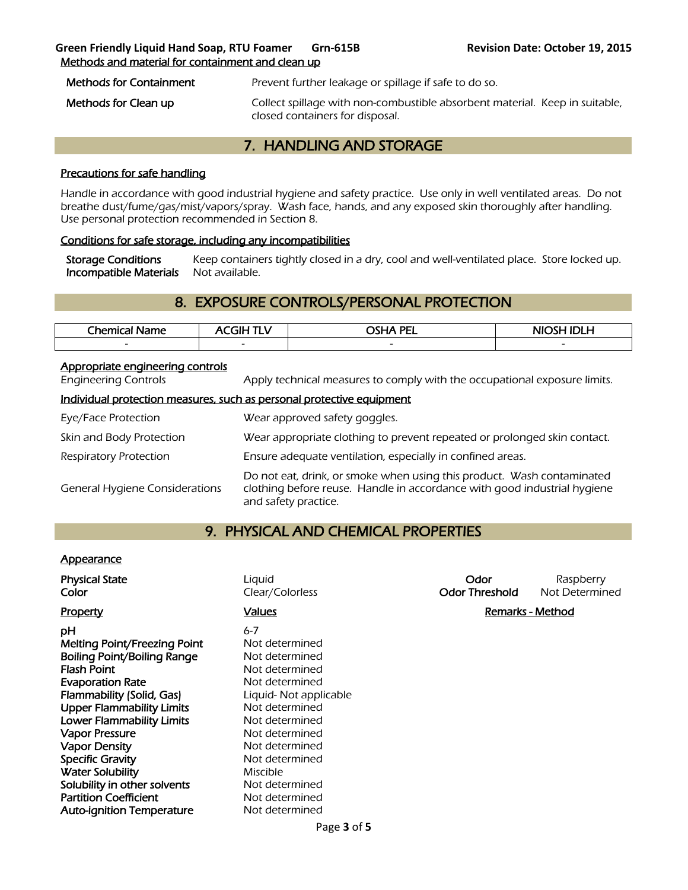### **Green Friendly Liquid Hand Soap, RTU Foamer Grn-615B Revision Date: October 19, 2015**  Methods and material for containment and clean up

Methods for Containment Prevent further leakage or spillage if safe to do so.

Methods for Clean up **Collect spillage with non-combustible absorbent material.** Keep in suitable, closed containers for disposal.

# 7. HANDLING AND STORAGE

### Precautions for safe handling

Handle in accordance with good industrial hygiene and safety practice. Use only in well ventilated areas. Do not breathe dust/fume/gas/mist/vapors/spray. Wash face, hands, and any exposed skin thoroughly after handling. Use personal protection recommended in Section 8.

### Conditions for safe storage, including any incompatibilities

Storage Conditions Keep containers tightly closed in a dry, cool and well-ventilated place. Store locked up. Incompatible Materials Not available.

# 8. EXPOSURE CONTROLS/PERSONAL PROTECTION

| Chemical<br>Name | - 1 1 -                  | <b>OSHA PEL</b>          | <b>NIOS!</b><br>л<br>.LM |
|------------------|--------------------------|--------------------------|--------------------------|
| $\sim$           | $\overline{\phantom{0}}$ | $\overline{\phantom{0}}$ | $\sim$                   |
|                  |                          |                          |                          |

### Appropriate engineering controls

Engineering Controls Apply technical measures to comply with the occupational exposure limits.

### Individual protection measures, such as personal protective equipment

| Eye/Face Protection                   | Wear approved safety goggles.                                                                                                                                              |
|---------------------------------------|----------------------------------------------------------------------------------------------------------------------------------------------------------------------------|
| Skin and Body Protection              | Wear appropriate clothing to prevent repeated or prolonged skin contact.                                                                                                   |
| <b>Respiratory Protection</b>         | Ensure adequate ventilation, especially in confined areas.                                                                                                                 |
| <b>General Hygiene Considerations</b> | Do not eat, drink, or smoke when using this product. Wash contaminated<br>clothing before reuse. Handle in accordance with good industrial hygiene<br>and safety practice. |

### 9. PHYSICAL AND CHEMICAL PROPERTIES

### **Appearance**

| <b>Physical State</b><br>Color                                                                                                                                                                                                                                                                                                               | Liguid<br>Clear/Colorless                                                                                                                                                                                       | Odor<br><b>Odor Threshold</b> | Raspberry<br>Not Determined |
|----------------------------------------------------------------------------------------------------------------------------------------------------------------------------------------------------------------------------------------------------------------------------------------------------------------------------------------------|-----------------------------------------------------------------------------------------------------------------------------------------------------------------------------------------------------------------|-------------------------------|-----------------------------|
| Property                                                                                                                                                                                                                                                                                                                                     | <b>Values</b>                                                                                                                                                                                                   | <b>Remarks - Method</b>       |                             |
| рH<br><b>Melting Point/Freezing Point</b><br><b>Boiling Point/Boiling Range</b><br><b>Flash Point</b><br><b>Evaporation Rate</b><br>Flammability (Solid, Gas)<br><b>Upper Flammability Limits</b><br><b>Lower Flammability Limits</b><br><b>Vapor Pressure</b><br><b>Vapor Density</b><br><b>Specific Gravity</b><br><b>Water Solubility</b> | $6 - 7$<br>Not determined<br>Not determined<br>Not determined<br>Not determined<br>Liquid- Not applicable<br>Not determined<br>Not determined<br>Not determined<br>Not determined<br>Not determined<br>Miscible |                               |                             |
| Solubility in other solvents                                                                                                                                                                                                                                                                                                                 | Not determined                                                                                                                                                                                                  |                               |                             |
| <b>Partition Coefficient</b>                                                                                                                                                                                                                                                                                                                 | Not determined                                                                                                                                                                                                  |                               |                             |
| <b>Auto-ignition Temperature</b>                                                                                                                                                                                                                                                                                                             | Not determined                                                                                                                                                                                                  |                               |                             |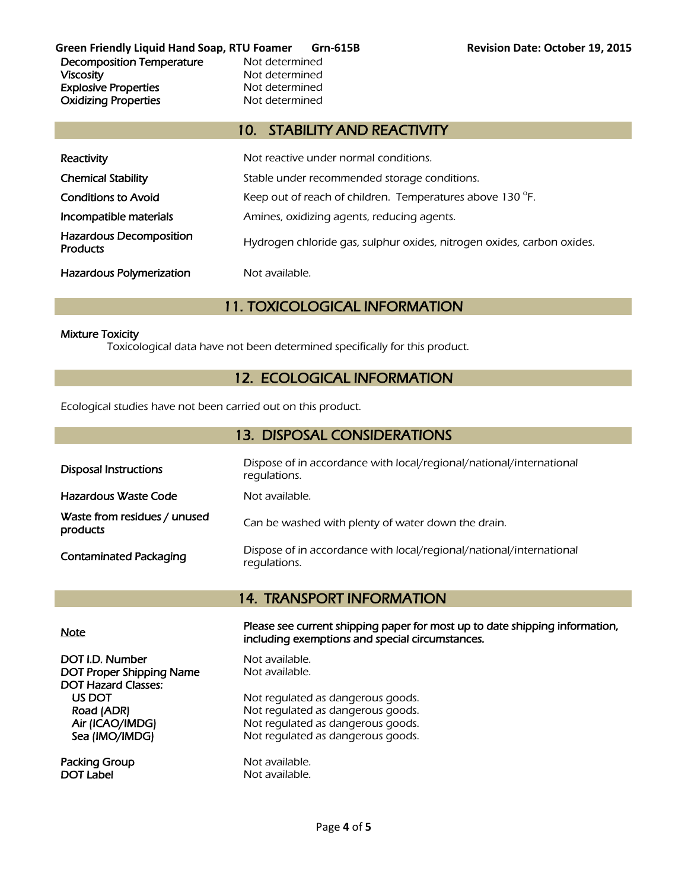**Green Friendly Liquid Hand Soap, RTU Foamer Grn-615B Revision Date: October 19, 2015**  Decomposition Temperature Not determined Viscosity **Not determined** Explosive Properties<br>
Oxidizing Properties<br>
Oxidizing Properties<br>
Not determined **Oxidizing Properties** 

# 10. STABILITY AND REACTIVITY

| Reactivity                                        | Not reactive under normal conditions.                                  |
|---------------------------------------------------|------------------------------------------------------------------------|
| <b>Chemical Stability</b>                         | Stable under recommended storage conditions.                           |
| <b>Conditions to Avoid</b>                        | Keep out of reach of children. Temperatures above 130 °F.              |
| Incompatible materials                            | Amines, oxidizing agents, reducing agents.                             |
| <b>Hazardous Decomposition</b><br><b>Products</b> | Hydrogen chloride gas, sulphur oxides, nitrogen oxides, carbon oxides. |
| <b>Hazardous Polymerization</b>                   | Not available.                                                         |

# 11. TOXICOLOGICAL INFORMATION

### Mixture Toxicity

Toxicological data have not been determined specifically for this product.

# 12. ECOLOGICAL INFORMATION

Ecological studies have not been carried out on this product.

| 13. DISPOSAL CONSIDERATIONS              |                                                                                     |  |
|------------------------------------------|-------------------------------------------------------------------------------------|--|
| <b>Disposal Instructions</b>             | Dispose of in accordance with local/regional/national/international<br>regulations. |  |
| Hazardous Waste Code                     | Not available.                                                                      |  |
| Waste from residues / unused<br>products | Can be washed with plenty of water down the drain.                                  |  |
| <b>Contaminated Packaging</b>            | Dispose of in accordance with local/regional/national/international<br>regulations. |  |

# 14. TRANSPORT INFORMATION

DOT I.D. Number Not available. DOT Proper Shipping Name Not available. DOT Hazard Classes:

Packing Group Not available. DOT Label Not available.

Note Please see current shipping paper for most up to date shipping information, including exemptions and special circumstances.

US DOT Not regulated as dangerous goods.<br>
Road (ADR) Not regulated as dangerous goods. Not regulated as dangerous goods. Air (ICAO/IMDG) Not regulated as dangerous goods. Sea (IMO/IMDG) Not regulated as dangerous goods.